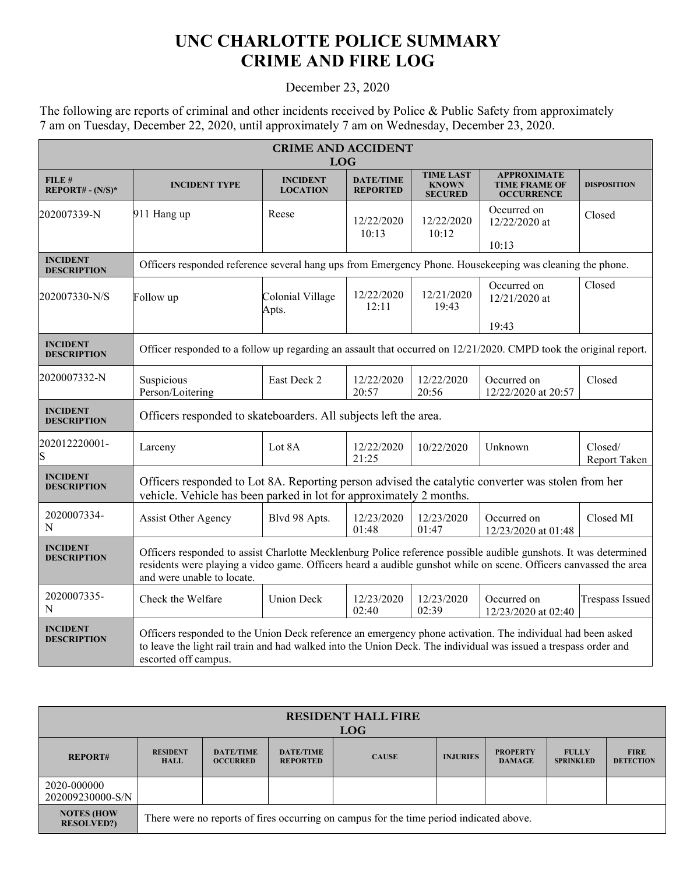## **UNC CHARLOTTE POLICE SUMMARY CRIME AND FIRE LOG**

## December 23, 2020

The following are reports of criminal and other incidents received by Police & Public Safety from approximately 7 am on Tuesday, December 22, 2020, until approximately 7 am on Wednesday, December 23, 2020.

| <b>CRIME AND ACCIDENT</b><br><b>LOG</b> |                                                                                                                                                                                                                                                                     |                                    |                                     |                                                    |                                                                 |                         |  |  |
|-----------------------------------------|---------------------------------------------------------------------------------------------------------------------------------------------------------------------------------------------------------------------------------------------------------------------|------------------------------------|-------------------------------------|----------------------------------------------------|-----------------------------------------------------------------|-------------------------|--|--|
| FILE#<br>$REPORT# - (N/S)*$             | <b>INCIDENT TYPE</b>                                                                                                                                                                                                                                                | <b>INCIDENT</b><br><b>LOCATION</b> | <b>DATE/TIME</b><br><b>REPORTED</b> | <b>TIME LAST</b><br><b>KNOWN</b><br><b>SECURED</b> | <b>APPROXIMATE</b><br><b>TIME FRAME OF</b><br><b>OCCURRENCE</b> | <b>DISPOSITION</b>      |  |  |
| 202007339-N                             | 911 Hang up                                                                                                                                                                                                                                                         | Reese                              | 12/22/2020<br>10:13                 | 12/22/2020<br>10:12                                | Occurred on<br>12/22/2020 at                                    | Closed                  |  |  |
| <b>INCIDENT</b><br><b>DESCRIPTION</b>   | 10:13<br>Officers responded reference several hang ups from Emergency Phone. Housekeeping was cleaning the phone.                                                                                                                                                   |                                    |                                     |                                                    |                                                                 |                         |  |  |
| 202007330-N/S                           | Follow up                                                                                                                                                                                                                                                           | Colonial Village<br>Apts.          | 12/22/2020<br>12:11                 | 12/21/2020<br>19:43                                | Occurred on<br>12/21/2020 at                                    | Closed                  |  |  |
|                                         |                                                                                                                                                                                                                                                                     |                                    |                                     |                                                    | 19:43                                                           |                         |  |  |
| <b>INCIDENT</b><br><b>DESCRIPTION</b>   | Officer responded to a follow up regarding an assault that occurred on 12/21/2020. CMPD took the original report.                                                                                                                                                   |                                    |                                     |                                                    |                                                                 |                         |  |  |
| 2020007332-N                            | Suspicious<br>Person/Loitering                                                                                                                                                                                                                                      | East Deck 2                        | 12/22/2020<br>20:57                 | 12/22/2020<br>20:56                                | Occurred on<br>12/22/2020 at 20:57                              | Closed                  |  |  |
| <b>INCIDENT</b><br><b>DESCRIPTION</b>   | Officers responded to skateboarders. All subjects left the area.                                                                                                                                                                                                    |                                    |                                     |                                                    |                                                                 |                         |  |  |
| 202012220001-                           | Larceny                                                                                                                                                                                                                                                             | Lot 8A                             | 12/22/2020<br>21:25                 | 10/22/2020                                         | Unknown                                                         | Closed/<br>Report Taken |  |  |
| <b>INCIDENT</b><br><b>DESCRIPTION</b>   | Officers responded to Lot 8A. Reporting person advised the catalytic converter was stolen from her<br>vehicle. Vehicle has been parked in lot for approximately 2 months.                                                                                           |                                    |                                     |                                                    |                                                                 |                         |  |  |
| 2020007334-<br>N                        | <b>Assist Other Agency</b>                                                                                                                                                                                                                                          | Blvd 98 Apts.                      | 12/23/2020<br>01:48                 | 12/23/2020<br>01:47                                | Occurred on<br>12/23/2020 at 01:48                              | Closed MI               |  |  |
| <b>INCIDENT</b><br><b>DESCRIPTION</b>   | Officers responded to assist Charlotte Mecklenburg Police reference possible audible gunshots. It was determined<br>residents were playing a video game. Officers heard a audible gunshot while on scene. Officers canvassed the area<br>and were unable to locate. |                                    |                                     |                                                    |                                                                 |                         |  |  |
| 2020007335-<br>N                        | Check the Welfare                                                                                                                                                                                                                                                   | <b>Union Deck</b>                  | 12/23/2020<br>02:40                 | 12/23/2020<br>02:39                                | Occurred on<br>12/23/2020 at 02:40                              | Trespass Issued         |  |  |
| <b>INCIDENT</b><br><b>DESCRIPTION</b>   | Officers responded to the Union Deck reference an emergency phone activation. The individual had been asked<br>to leave the light rail train and had walked into the Union Deck. The individual was issued a trespass order and<br>escorted off campus.             |                                    |                                     |                                                    |                                                                 |                         |  |  |

| <b>RESIDENT HALL FIRE</b><br><b>LOG</b> |                                                                                         |                                     |                                     |              |                 |                                  |                                  |                                 |
|-----------------------------------------|-----------------------------------------------------------------------------------------|-------------------------------------|-------------------------------------|--------------|-----------------|----------------------------------|----------------------------------|---------------------------------|
| <b>REPORT#</b>                          | <b>RESIDENT</b><br><b>HALL</b>                                                          | <b>DATE/TIME</b><br><b>OCCURRED</b> | <b>DATE/TIME</b><br><b>REPORTED</b> | <b>CAUSE</b> | <b>INJURIES</b> | <b>PROPERTY</b><br><b>DAMAGE</b> | <b>FULLY</b><br><b>SPRINKLED</b> | <b>FIRE</b><br><b>DETECTION</b> |
| 2020-000000<br>202009230000-S/N         |                                                                                         |                                     |                                     |              |                 |                                  |                                  |                                 |
| <b>NOTES (HOW</b><br><b>RESOLVED?)</b>  | There were no reports of fires occurring on campus for the time period indicated above. |                                     |                                     |              |                 |                                  |                                  |                                 |